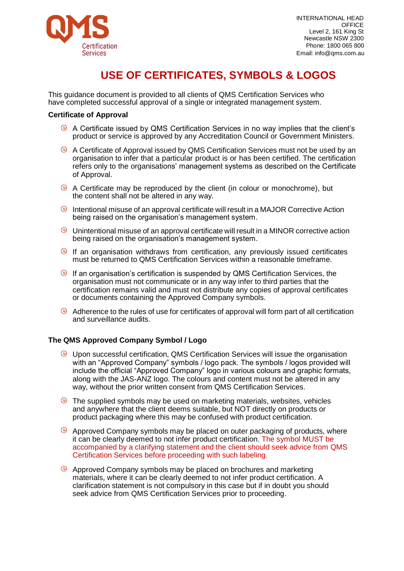

## **USE OF CERTIFICATES, SYMBOLS & LOGOS**

This guidance document is provided to all clients of QMS Certification Services who have completed successful approval of a single or integrated management system.

### **Certificate of Approval**

- A Certificate issued by QMS Certification Services in no way implies that the client's product or service is approved by any Accreditation Council or Government Ministers.
- <sup>◎</sup> A Certificate of Approval issued by QMS Certification Services must not be used by an organisation to infer that a particular product is or has been certified. The certification refers only to the organisations' management systems as described on the Certificate of Approval.
- A Certificate may be reproduced by the client (in colour or monochrome), but the content shall not be altered in any way.
- Intentional misuse of an approval certificate will result in a MAJOR Corrective Action being raised on the organisation's management system.
- Unintentional misuse of an approval certificate will result in a MINOR corrective action being raised on the organisation's management system.
- If an organisation withdraws from certification, any previously issued certificates must be returned to QMS Certification Services within a reasonable timeframe.
- If an organisation's certification is suspended by QMS Certification Services, the organisation must not communicate or in any way infer to third parties that the certification remains valid and must not distribute any copies of approval certificates or documents containing the Approved Company symbols.
- $\odot$  Adherence to the rules of use for certificates of approval will form part of all certification and surveillance audits.

## **The QMS Approved Company Symbol / Logo**

- Upon successful certification, QMS Certification Services will issue the organisation with an "Approved Company" symbols / logo pack. The symbols / logos provided will include the official "Approved Company" logo in various colours and graphic formats, along with the JAS-ANZ logo. The colours and content must not be altered in any way, without the prior written consent from QMS Certification Services.
- $\odot$  The supplied symbols may be used on marketing materials, websites, vehicles and anywhere that the client deems suitable, but NOT directly on products or product packaging where this may be confused with product certification.
- $\odot$  Approved Company symbols may be placed on outer packaging of products, where it can be clearly deemed to not infer product certification. The symbol MUST be accompanied by a clarifying statement and the client should seek advice from QMS Certification Services before proceeding with such labeling.
- <sup>◎</sup> Approved Company symbols may be placed on brochures and marketing materials, where it can be clearly deemed to not infer product certification. A clarification statement is not compulsory in this case but if in doubt you should seek advice from QMS Certification Services prior to proceeding.